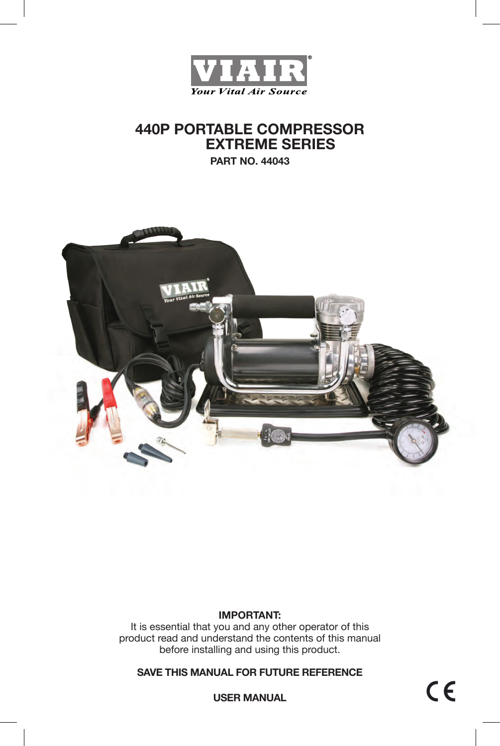

# **440P PORTABLE COMPRESSOR EXTREME SERIES**

**PART NO. 44043**



#### **IMPORTANT:**

It is essential that you and any other operator of this product read and understand the contents of this manual before installing and using this product.

**SAVE THIS MANUAL FOR FUTURE REFERENCE**

 $C \in$ 

**USER MANUAL**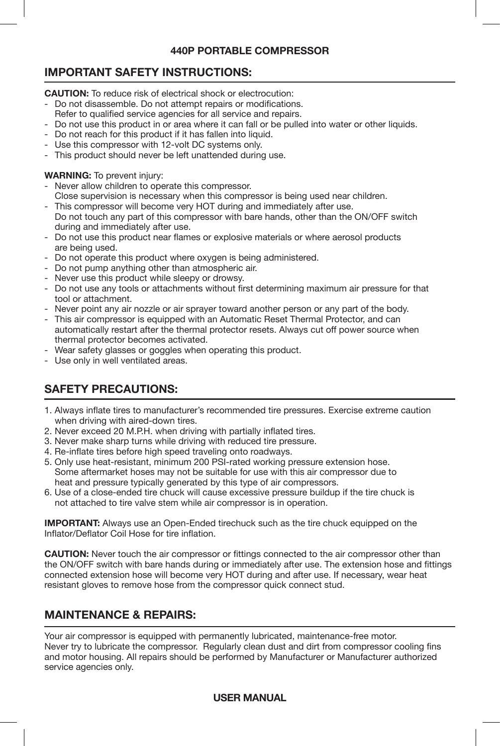### **440P PORTABLE COMPRESSOR**

# **IMPORTANT SAFETY INSTRUCTIONS:**

**CAUTION:** To reduce risk of electrical shock or electrocution:

- Do not disassemble. Do not attempt repairs or modifications.
- Refer to qualified service agencies for all service and repairs.
- Do not use this product in or area where it can fall or be pulled into water or other liquids.
- Do not reach for this product if it has fallen into liquid.
- Use this compressor with 12-volt DC systems only.
- This product should never be left unattended during use.

#### **WARNING:** To prevent injury:

- Never allow children to operate this compressor.
- Close supervision is necessary when this compressor is being used near children.
- This compressor will become very HOT during and immediately after use. Do not touch any part of this compressor with bare hands, other than the ON/OFF switch during and immediately after use.
- Do not use this product near flames or explosive materials or where aerosol products are being used.
- Do not operate this product where oxygen is being administered.
- Do not pump anything other than atmospheric air.
- Never use this product while sleepy or drowsy.
- Do not use any tools or attachments without first determining maximum air pressure for that tool or attachment.
- Never point any air nozzle or air sprayer toward another person or any part of the body.
- This air compressor is equipped with an Automatic Reset Thermal Protector, and can automatically restart after the thermal protector resets. Always cut off power source when thermal protector becomes activated.
- Wear safety glasses or goggles when operating this product.
- Use only in well ventilated areas.

# **SAFETY PRECAUTIONS:**

- 1. Always inflate tires to manufacturer's recommended tire pressures. Exercise extreme caution when driving with aired-down tires.
- 2. Never exceed 20 M.P.H. when driving with partially inflated tires.
- 3. Never make sharp turns while driving with reduced tire pressure.
- 4. Re-inflate tires before high speed traveling onto roadways.
- 5. Only use heat-resistant, minimum 200 PSI-rated working pressure extension hose. Some aftermarket hoses may not be suitable for use with this air compressor due to heat and pressure typically generated by this type of air compressors.
- 6. Use of a close-ended tire chuck will cause excessive pressure buildup if the tire chuck is not attached to tire valve stem while air compressor is in operation.

**IMPORTANT:** Always use an Open-Ended tirechuck such as the tire chuck equipped on the Inflator/Deflator Coil Hose for tire inflation.

**CAUTION:** Never touch the air compressor or fittings connected to the air compressor other than the ON/OFF switch with bare hands during or immediately after use. The extension hose and fittings connected extension hose will become very HOT during and after use. If necessary, wear heat resistant gloves to remove hose from the compressor quick connect stud.

# **MAINTENANCE & REPAIRS:**

Your air compressor is equipped with permanently lubricated, maintenance-free motor. Never try to lubricate the compressor. Regularly clean dust and dirt from compressor cooling fins and motor housing. All repairs should be performed by Manufacturer or Manufacturer authorized service agencies only.

### **USER MANUAL**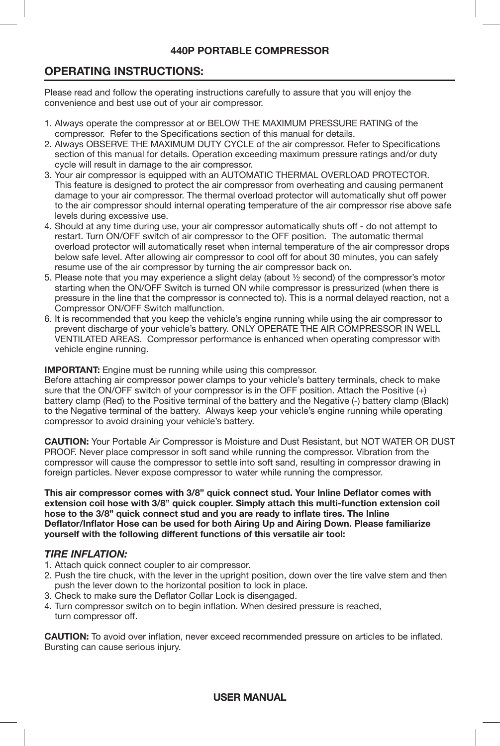### **440P PORTABLE COMPRESSOR**

## **OPERATING INSTRUCTIONS:**

Please read and follow the operating instructions carefully to assure that you will enjoy the convenience and best use out of your air compressor.

- 1. Always operate the compressor at or BELOW THE MAXIMUM PRESSURE RATING of the compressor. Refer to the Specifications section of this manual for details.
- 2. Always OBSERVE THE MAXIMUM DUTY CYCLE of the air compressor. Refer to Specifications section of this manual for details. Operation exceeding maximum pressure ratings and/or duty cycle will result in damage to the air compressor.
- 3. Your air compressor is equipped with an AUTOMATIC THERMAL OVERLOAD PROTECTOR. This feature is designed to protect the air compressor from overheating and causing permanent damage to your air compressor. The thermal overload protector will automatically shut off power to the air compressor should internal operating temperature of the air compressor rise above safe levels during excessive use.
- 4. Should at any time during use, your air compressor automatically shuts off do not attempt to restart. Turn ON/OFF switch of air compressor to the OFF position. The automatic thermal overload protector will automatically reset when internal temperature of the air compressor drops below safe level. After allowing air compressor to cool off for about 30 minutes, you can safely resume use of the air compressor by turning the air compressor back on.
- 5. Please note that you may experience a slight delay (about ½ second) of the compressor's motor starting when the ON/OFF Switch is turned ON while compressor is pressurized (when there is pressure in the line that the compressor is connected to). This is a normal delayed reaction, not a Compressor ON/OFF Switch malfunction.
- 6. It is recommended that you keep the vehicle's engine running while using the air compressor to prevent discharge of your vehicle's battery. ONLY OPERATE THE AIR COMPRESSOR IN WELL VENTILATED AREAS. Compressor performance is enhanced when operating compressor with vehicle engine running.

**IMPORTANT:** Engine must be running while using this compressor.

Before attaching air compressor power clamps to your vehicle's battery terminals, check to make sure that the ON/OFF switch of your compressor is in the OFF position. Attach the Positive (+) battery clamp (Red) to the Positive terminal of the battery and the Negative (-) battery clamp (Black) to the Negative terminal of the battery. Always keep your vehicle's engine running while operating compressor to avoid draining your vehicle's battery.

**CAUTION:** Your Portable Air Compressor is Moisture and Dust Resistant, but NOT WATER OR DUST PROOF. Never place compressor in soft sand while running the compressor. Vibration from the compressor will cause the compressor to settle into soft sand, resulting in compressor drawing in foreign particles. Never expose compressor to water while running the compressor.

**This air compressor comes with 3/8" quick connect stud. Your Inline Deflator comes with extension coil hose with 3/8" quick coupler. Simply attach this multi-function extension coil hose to the 3/8" quick connect stud and you are ready to inflate tires. The Inline Deflator/Inflator Hose can be used for both Airing Up and Airing Down. Please familiarize yourself with the following different functions of this versatile air tool:**

#### *TIRE INFLATION:*

- 1. Attach quick connect coupler to air compressor.
- 2. Push the tire chuck, with the lever in the upright position, down over the tire valve stem and then push the lever down to the horizontal position to lock in place.
- 3. Check to make sure the Deflator Collar Lock is disengaged.
- 4. Turn compressor switch on to begin inflation. When desired pressure is reached, turn compressor off.

**CAUTION:** To avoid over inflation, never exceed recommended pressure on articles to be inflated. Bursting can cause serious injury.

#### **USER MANUAL**